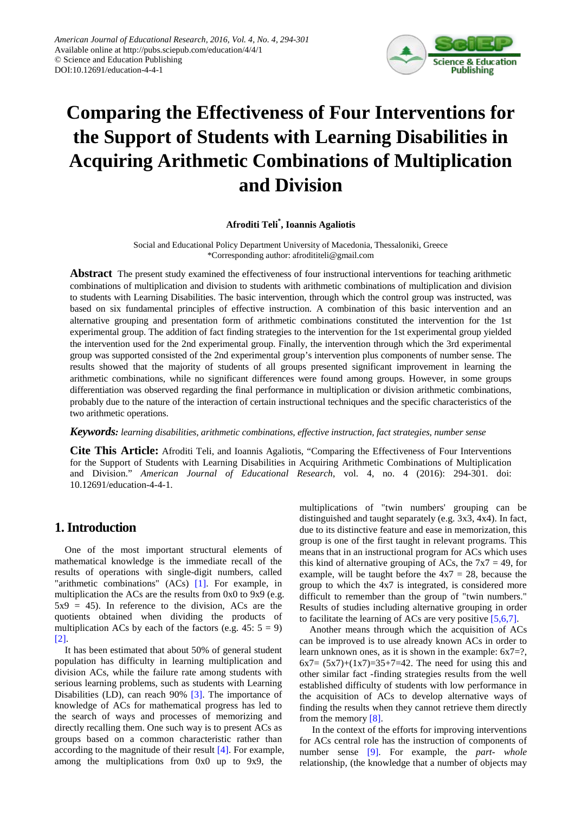

# **Comparing the Effectiveness of Four Interventions for the Support of Students with Learning Disabilities in Acquiring Arithmetic Combinations of Multiplication and Division**

## **Afroditi Teli\* , Ioannis Agaliotis**

Social and Educational Policy Department University of Macedonia, Thessaloniki, Greece \*Corresponding author: afrodititeli@gmail.com

**Abstract** The present study examined the effectiveness of four instructional interventions for teaching arithmetic combinations of multiplication and division to students with arithmetic combinations of multiplication and division to students with Learning Disabilities. The basic intervention, through which the control group was instructed, was based on six fundamental principles of effective instruction. A combination of this basic intervention and an alternative grouping and presentation form of arithmetic combinations constituted the intervention for the 1st experimental group. The addition of fact finding strategies to the intervention for the 1st experimental group yielded the intervention used for the 2nd experimental group. Finally, the intervention through which the 3rd experimental group was supported consisted of the 2nd experimental group's intervention plus components of number sense. The results showed that the majority of students of all groups presented significant improvement in learning the arithmetic combinations, while no significant differences were found among groups. However, in some groups differentiation was observed regarding the final performance in multiplication or division arithmetic combinations, probably due to the nature of the interaction of certain instructional techniques and the specific characteristics of the two arithmetic operations.

## *Keywords: learning disabilities, arithmetic combinations, effective instruction, fact strategies, number sense*

**Cite This Article:** Afroditi Teli, and Ioannis Agaliotis, "Comparing the Effectiveness of Four Interventions for the Support of Students with Learning Disabilities in Acquiring Arithmetic Combinations of Multiplication and Division." *American Journal of Educational Research*, vol. 4, no. 4 (2016): 294-301. doi: 10.12691/education-4-4-1.

# **1. Introduction**

One of the most important structural elements of mathematical knowledge is the immediate recall of the results of operations with single-digit numbers, called "arithmetic combinations" (ACs) [\[1\].](#page-6-0) For example, in multiplication the ACs are the results from 0x0 to 9x9 (e.g.  $5x9 = 45$ ). In reference to the division, ACs are the quotients obtained when dividing the products of multiplication ACs by each of the factors (e.g.  $45: 5 = 9$ ) [\[2\].](#page-6-1)

It has been estimated that about 50% of general student population has difficulty in learning multiplication and division ACs, while the failure rate among students with serious learning problems, such as students with Learning Disabilities (LD), can reach 90% [\[3\].](#page-6-2) The importance of knowledge of ACs for mathematical progress has led to the search of ways and processes of memorizing and directly recalling them. One such way is to present ACs as groups based on a common characteristic rather than according to the magnitude of their result [\[4\].](#page-6-3) For example, among the multiplications from 0x0 up to 9x9, the

multiplications of "twin numbers' grouping can be distinguished and taught separately (e.g. 3x3, 4x4). In fact, due to its distinctive feature and ease in memorization, this group is one of the first taught in relevant programs. This means that in an instructional program for ACs which uses this kind of alternative grouping of ACs, the  $7x7 = 49$ , for example, will be taught before the  $4x7 = 28$ , because the group to which the 4x7 is integrated, is considered more difficult to remember than the group of "twin numbers." Results of studies including alternative grouping in order to facilitate the learning of ACs are very positive [\[5,6,7\].](#page-6-4)

Another means through which the acquisition of ACs can be improved is to use already known ACs in order to learn unknown ones, as it is shown in the example: 6x7=?,  $6x7 = (5x7)+(1x7)=35+7=42$ . The need for using this and other similar fact -finding strategies results from the well established difficulty of students with low performance in the acquisition of ACs to develop alternative ways of finding the results when they cannot retrieve them directly from the memor[y \[8\].](#page-6-5)

In the context of the efforts for improving interventions for ACs central role has the instruction of components of number sense [\[9\].](#page-6-6) For example, the *part- whole* relationship, (the knowledge that a number of objects may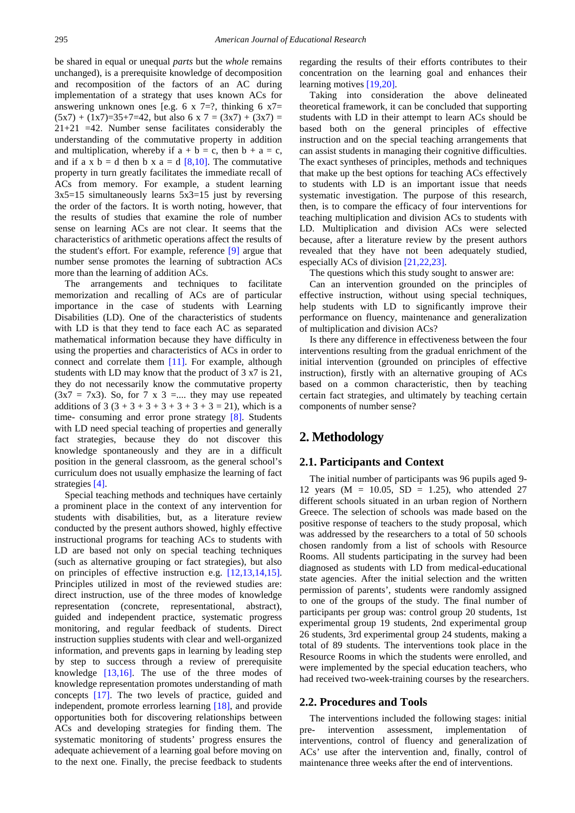be shared in equal or unequal *parts* but the *whole* remains unchanged), is a prerequisite knowledge of decomposition and recomposition of the factors of an AC during implementation of a strategy that uses known ACs for answering unknown ones [e.g. 6 x 7=?, thinking 6  $x7=$ ]  $(5x7) + (1x7)=35+7=42$ , but also 6 x 7 =  $(3x7) + (3x7) =$  $21+21$  =42. Number sense facilitates considerably the understanding of the commutative property in addition and multiplication, whereby if  $a + b = c$ , then  $b + a = c$ , and if a x  $b = d$  then b x a = d [\[8,10\].](#page-6-5) The commutative property in turn greatly facilitates the immediate recall of ACs from memory. For example, a student learning  $3x5=15$  simultaneously learns  $5x3=15$  just by reversing the order of the factors. It is worth noting, however, that the results of studies that examine the role of number sense on learning ACs are not clear. It seems that the characteristics of arithmetic operations affect the results of the student's effort. For example, reference [\[9\]](#page-6-6) argue that number sense promotes the learning of subtraction ACs more than the learning of addition ACs.

The arrangements and techniques to facilitate memorization and recalling of ACs are of particular importance in the case of students with Learning Disabilities (LD). One of the characteristics of students with LD is that they tend to face each AC as separated mathematical information because they have difficulty in using the properties and characteristics of ACs in order to connect and correlate them [\[11\].](#page-6-7) For example, although students with LD may know that the product of 3 x7 is 21, they do not necessarily know the commutative property  $(3x7 = 7x3)$ . So, for 7 x 3 =.... they may use repeated additions of  $3(3 + 3 + 3 + 3 + 3 + 3 + 3 = 21)$ , which is a time- consuming and error prone strategy [\[8\].](#page-6-5) Students with LD need special teaching of properties and generally fact strategies, because they do not discover this knowledge spontaneously and they are in a difficult position in the general classroom, as the general school's curriculum does not usually emphasize the learning of fact strategies [\[4\].](#page-6-3)

Special teaching methods and techniques have certainly a prominent place in the context of any intervention for students with disabilities, but, as a literature review conducted by the present authors showed, highly effective instructional programs for teaching ACs to students with LD are based not only on special teaching techniques (such as alternative grouping or fact strategies), but also on principles of effective instruction e.g. [\[12,13,14,15\].](#page-6-8) Principles utilized in most of the reviewed studies are: direct instruction, use of the three modes of knowledge representation (concrete, representational, abstract), guided and independent practice, systematic progress monitoring, and regular feedback of students. Direct instruction supplies students with clear and well-organized information, and prevents gaps in learning by leading step by step to success through a review of prerequisite knowledge [\[13,16\].](#page-6-9) The use of the three modes of knowledge representation promotes understanding of math concepts [\[17\].](#page-6-10) The two levels of practice, guided and independent, promote errorless learning [\[18\],](#page-6-11) and provide opportunities both for discovering relationships between ACs and developing strategies for finding them. The systematic monitoring of students' progress ensures the adequate achievement of a learning goal before moving on to the next one. Finally, the precise feedback to students

regarding the results of their efforts contributes to their concentration on the learning goal and enhances their learning motive[s \[19,20\].](#page-6-12)

Taking into consideration the above delineated theoretical framework, it can be concluded that supporting students with LD in their attempt to learn ACs should be based both on the general principles of effective instruction and on the special teaching arrangements that can assist students in managing their cognitive difficulties. The exact syntheses of principles, methods and techniques that make up the best options for teaching ACs effectively to students with LD is an important issue that needs systematic investigation. The purpose of this research, then, is to compare the efficacy of four interventions for teaching multiplication and division ACs to students with LD. Multiplication and division ACs were selected because, after a literature review by the present authors revealed that they have not been adequately studied, especially ACs of division [\[21,22,23\].](#page-6-13)

The questions which this study sought to answer are:

Can an intervention grounded on the principles of effective instruction, without using special techniques, help students with LD to significantly improve their performance on fluency, maintenance and generalization of multiplication and division ACs?

Is there any difference in effectiveness between the four interventions resulting from the gradual enrichment of the initial intervention (grounded on principles of effective instruction), firstly with an alternative grouping of ACs based on a common characteristic, then by teaching certain fact strategies, and ultimately by teaching certain components of number sense?

# **2. Methodology**

## **2.1. Participants and Context**

The initial number of participants was 96 pupils aged 9- 12 years ( $M = 10.05$ ,  $SD = 1.25$ ), who attended 27 different schools situated in an urban region of Northern Greece. The selection of schools was made based on the positive response of teachers to the study proposal, which was addressed by the researchers to a total of 50 schools chosen randomly from a list of schools with Resource Rooms. All students participating in the survey had been diagnosed as students with LD from medical-educational state agencies. After the initial selection and the written permission of parents', students were randomly assigned to one of the groups of the study. The final number of participants per group was: control group 20 students, 1st experimental group 19 students, 2nd experimental group 26 students, 3rd experimental group 24 students, making a total of 89 students. The interventions took place in the Resource Rooms in which the students were enrolled, and were implemented by the special education teachers, who had received two-week-training courses by the researchers.

## **2.2. Procedures and Tools**

The interventions included the following stages: initial pre- intervention assessment, implementation of interventions, control of fluency and generalization of ACs' use after the intervention and, finally, control of maintenance three weeks after the end of interventions.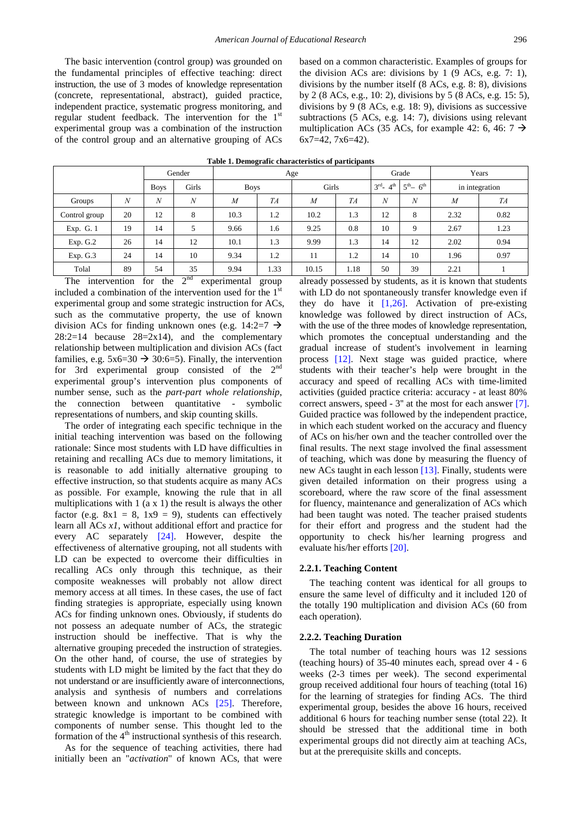The basic intervention (control group) was grounded on the fundamental principles of effective teaching: direct instruction, the use of 3 modes of knowledge representation (concrete, representational, abstract), guided practice, independent practice, systematic progress monitoring, and regular student feedback. The intervention for the 1st experimental group was a combination of the instruction of the control group and an alternative grouping of ACs based on a common characteristic. Examples of groups for the division ACs are: divisions by  $1$  (9 ACs, e.g. 7: 1), divisions by the number itself (8 ACs, e.g. 8: 8), divisions by 2 (8 ACs, e.g., 10: 2), divisions by 5 (8 ACs, e.g. 15: 5), divisions by 9 (8 ACs, e.g. 18: 9), divisions as successive subtractions (5 ACs, e.g. 14: 7), divisions using relevant multiplication ACs (35 ACs, for example 42: 6, 46:  $7 \rightarrow$ 6x7=42, 7x6=42).

<span id="page-2-0"></span>

|               |    | Gender      |       |                | Age  |                |      | Grade                      |                   | Years          |      |
|---------------|----|-------------|-------|----------------|------|----------------|------|----------------------------|-------------------|----------------|------|
|               |    | <b>Boys</b> | Girls | <b>Boys</b>    |      | Girls          |      | $3^{rd}$ - 4 <sup>th</sup> | $5^{th} - 6^{th}$ | in integration |      |
| Groups        | N  | N           | N     | $\overline{M}$ | TA   | $\overline{M}$ | TA   | $\boldsymbol{N}$           | N                 | $\overline{M}$ | TA   |
| Control group | 20 | 12          | 8     | 10.3           | 1.2  | 10.2           | 1.3  | 12                         | 8                 | 2.32           | 0.82 |
| Exp. G. 1     | 19 | 14          | 5     | 9.66           | 1.6  | 9.25           | 0.8  | 10                         | Q                 | 2.67           | 1.23 |
| Exp. G.2      | 26 | 14          | 12    | 10.1           | 1.3  | 9.99           | 1.3  | 14                         | 12                | 2.02           | 0.94 |
| Exp. G.3      | 24 | 14          | 10    | 9.34           | 1.2  | 11             | 1.2  | 14                         | 10                | 1.96           | 0.97 |
| Tolal         | 89 | 54          | 35    | 9.94           | 1.33 | 10.15          | 1.18 | 50                         | 39                | 2.21           |      |

**Table 1. Demografic characteristics of participants** 

The intervention for the  $2<sup>nd</sup>$  experimental group included a combination of the intervention used for the  $1<sup>s</sup>$ experimental group and some strategic instruction for ACs, such as the commutative property, the use of known division ACs for finding unknown ones (e.g. 14:2=7  $\rightarrow$  $28:2=14$  because  $28=2x14$ , and the complementary relationship between multiplication and division ACs (fact families, e.g.  $5x6=30 \rightarrow 30:6=5$ . Finally, the intervention for 3rd experimental group consisted of the 2nd experimental group's intervention plus components of number sense, such as the *part-part whole relationship*, the connection between quantitative - symbolic representations of numbers, and skip counting skills.

The order of integrating each specific technique in the initial teaching intervention was based on the following rationale: Since most students with LD have difficulties in retaining and recalling ACs due to memory limitations, it is reasonable to add initially alternative grouping to effective instruction, so that students acquire as many ACs as possible. For example, knowing the rule that in all multiplications with 1 (a x 1) the result is always the other factor (e.g.  $8x1 = 8$ ,  $1x9 = 9$ ), students can effectively learn all ACs *x1*, without additional effort and practice for every AC separately [\[24\].](#page-6-14) However, despite the effectiveness of alternative grouping, not all students with LD can be expected to overcome their difficulties in recalling ACs only through this technique, as their composite weaknesses will probably not allow direct memory access at all times. In these cases, the use of fact finding strategies is appropriate, especially using known ACs for finding unknown ones. Obviously, if students do not possess an adequate number of ACs, the strategic instruction should be ineffective. That is why the alternative grouping preceded the instruction of strategies. On the other hand, of course, the use of strategies by students with LD might be limited by the fact that they do not understand or are insufficiently aware of interconnections, analysis and synthesis of numbers and correlations between known and unknown ACs [\[25\].](#page-6-15) Therefore, strategic knowledge is important to be combined with components of number sense. This thought led to the formation of the  $4<sup>th</sup>$  instructional synthesis of this research.

As for the sequence of teaching activities, there had initially been an "*activation*" of known ACs, that were already possessed by students, as it is known that students with LD do not spontaneously transfer knowledge even if they do have it  $[1,26]$ . Activation of pre-existing knowledge was followed by direct instruction of ACs, with the use of the three modes of knowledge representation, which promotes the conceptual understanding and the gradual increase of student's involvement in learning process [\[12\].](#page-6-8) Next stage was guided practice, where students with their teacher's help were brought in the accuracy and speed of recalling ACs with time-limited activities (guided practice criteria: accuracy - at least 80% correct answers, speed - 3'' at the most for each answer [\[7\].](#page-6-16) Guided practice was followed by the independent practice, in which each student worked on the accuracy and fluency of ACs on his/her own and the teacher controlled over the final results. The next stage involved the final assessment of teaching, which was done by measuring the fluency of new ACs taught in each lesson [\[13\].](#page-6-9) Finally, students were given detailed information on their progress using a scoreboard, where the raw score of the final assessment for fluency, maintenance and generalization of ACs which had been taught was noted. The teacher praised students for their effort and progress and the student had the opportunity to check his/her learning progress and evaluate his/her efforts [\[20\].](#page-6-17)

#### **2.2.1. Teaching Content**

The teaching content was identical for all groups to ensure the same level of difficulty and it included 120 of the totally 190 multiplication and division ACs (60 from each operation).

#### **2.2.2. Teaching Duration**

The total number of teaching hours was 12 sessions (teaching hours) of 35-40 minutes each, spread over 4 - 6 weeks (2-3 times per week). The second experimental group received additional four hours of teaching (total 16) for the learning of strategies for finding ACs. The third experimental group, besides the above 16 hours, received additional 6 hours for teaching number sense (total 22). It should be stressed that the additional time in both experimental groups did not directly aim at teaching ACs, but at the prerequisite skills and concepts.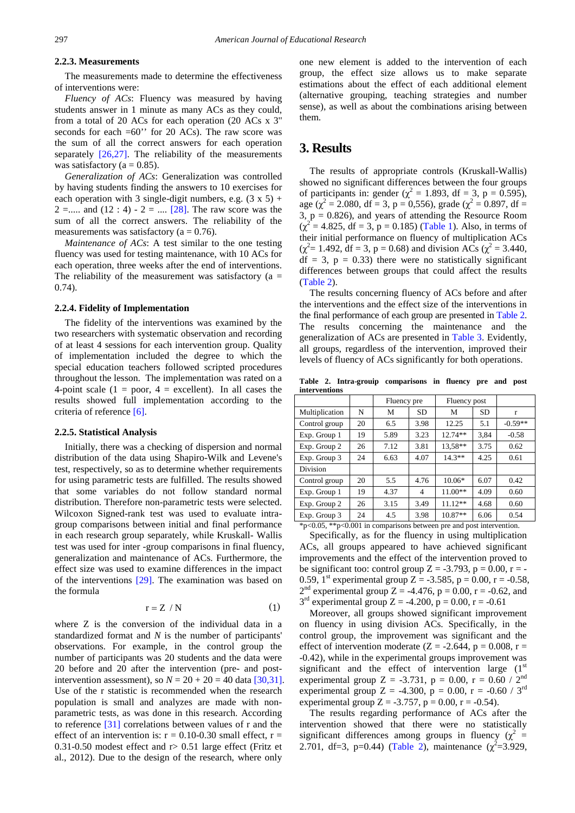## **2.2.3. Measurements**

The measurements made to determine the effectiveness of interventions were:

*Fluency of ACs*: Fluency was measured by having students answer in 1 minute as many ACs as they could, from a total of 20 ACs for each operation (20 ACs x 3'' seconds for each  $=60$ " for 20 ACs). The raw score was the sum of all the correct answers for each operation separately  $[26,27]$ . The reliability of the measurements was satisfactory ( $a = 0.85$ ).

*Generalization of ACs*: Generalization was controlled by having students finding the answers to 10 exercises for each operation with 3 single-digit numbers, e.g.  $(3 \times 5)$  + 2 =..... and (12 : 4) - 2 = .... [\[28\].](#page-6-19) The raw score was the sum of all the correct answers. The reliability of the measurements was satisfactory ( $a = 0.76$ ).

*Maintenance of ACs*: A test similar to the one testing fluency was used for testing maintenance, with 10 ACs for each operation, three weeks after the end of interventions. The reliability of the measurement was satisfactory ( $a =$ 0.74).

#### **2.2.4. Fidelity of Implementation**

The fidelity of the interventions was examined by the two researchers with systematic observation and recording of at least 4 sessions for each intervention group. Quality of implementation included the degree to which the special education teachers followed scripted procedures throughout the lesson. The implementation was rated on a 4-point scale (1 = poor, 4 = excellent). In all cases the results showed full implementation according to the criteria of reference [\[6\].](#page-6-20)

#### **2.2.5. Statistical Analysis**

Initially, there was a checking of dispersion and normal distribution of the data using Shapiro-Wilk and Levene's test, respectively, so as to determine whether requirements for using parametric tests are fulfilled. The results showed that some variables do not follow standard normal distribution. Therefore non-parametric tests were selected. Wilcoxon Signed-rank test was used to evaluate intragroup comparisons between initial and final performance in each research group separately, while Kruskall- Wallis test was used for inter -group comparisons in final fluency, generalization and maintenance of ACs. Furthermore, the effect size was used to examine differences in the impact of the interventions [\[29\].](#page-6-21) The examination was based on the formula

$$
r = Z / N \tag{1}
$$

where Z is the conversion of the individual data in a standardized format and *N* is the number of participants' observations. For example, in the control group the number of participants was 20 students and the data were 20 before and 20 after the intervention (pre- and postintervention assessment), so  $N = 20 + 20 = 40$  data [\[30,31\].](#page-7-0) Use of the r statistic is recommended when the research population is small and analyzes are made with nonparametric tests, as was done in this research. According to reference [\[31\]](#page-7-1) correlations between values of r and the effect of an intervention is:  $r = 0.10$ -0.30 small effect,  $r =$ 0.31-0.50 modest effect and r> 0.51 large effect (Fritz et al., 2012). Due to the design of the research, where only

one new element is added to the intervention of each group, the effect size allows us to make separate estimations about the effect of each additional element (alternative grouping, teaching strategies and number sense), as well as about the combinations arising between them.

# **3. Results**

The results of appropriate controls (Kruskall-Wallis) showed no significant differences between the four groups of participants in: gender ( $\chi^2 = 1.893$ , df = 3, p = 0.595), age ( $\chi^2$  = 2.080, df = 3, p = 0,556), grade ( $\chi^2$  = 0.897, df = 3,  $p = 0.826$ ), and years of attending the Resource Room  $(\chi^2 = 4.825, df = 3, p = 0.185)$  [\(Table 1\)](#page-2-0). Also, in terms of their initial performance on fluency of multiplication ACs  $(\chi^2 = 1.492, \text{ df} = 3, \, \text{p} = 0.68)$  and division ACs  $(\chi^2 = 3.440, \, \text{m})$  $df = 3$ ,  $p = 0.33$ ) there were no statistically significant differences between groups that could affect the results [\(Table 2\)](#page-3-0).

The results concerning fluency of ACs before and after the interventions and the effect size of the interventions in the final performance of each group are presented in [Table 2.](#page-3-0)  The results concerning the maintenance and the generalization of ACs are presented in [Table 3.](#page-4-0) Evidently, all groups, regardless of the intervention, improved their levels of fluency of ACs significantly for both operations.

**Table 2. Intra-grouip comparisons in fluency pre and post interventions**

<span id="page-3-0"></span>

|                                                                                                                                                                                                                                                                                                                                                             |       | Fluency pre |                | Fluency post |      |           |
|-------------------------------------------------------------------------------------------------------------------------------------------------------------------------------------------------------------------------------------------------------------------------------------------------------------------------------------------------------------|-------|-------------|----------------|--------------|------|-----------|
| Multiplication                                                                                                                                                                                                                                                                                                                                              | N     | M           | <b>SD</b>      | М            | SD   | r         |
| Control group                                                                                                                                                                                                                                                                                                                                               | 20    | 6.5         | 3.98           | 12.25        | 5.1  | $-0.59**$ |
| Exp. Group 1                                                                                                                                                                                                                                                                                                                                                | 19    | 5.89        | 3.23           | $12.74**$    | 3,84 | $-0.58$   |
| Exp. Group 2                                                                                                                                                                                                                                                                                                                                                | 26    | 7.12        | 3.81           | 13.58**      | 3.75 | 0.62      |
| Exp. Group 3                                                                                                                                                                                                                                                                                                                                                | 24    | 6.63        | 4.07           | $14.3**$     | 4.25 | 0.61      |
| Division                                                                                                                                                                                                                                                                                                                                                    |       |             |                |              |      |           |
| Control group                                                                                                                                                                                                                                                                                                                                               | 20    | 5.5         | 4.76           | $10.06*$     | 6.07 | 0.42      |
| Exp. Group 1                                                                                                                                                                                                                                                                                                                                                | 19    | 4.37        | $\overline{4}$ | 11.00**      | 4.09 | 0.60      |
| Exp. Group 2                                                                                                                                                                                                                                                                                                                                                | 26    | 3.15        | 3.49           | $11.12**$    | 4.68 | 0.60      |
| Exp. Group 3                                                                                                                                                                                                                                                                                                                                                | 24    | 4.5         | 3.98           | 10.87**      | 6.06 | 0.54      |
| $\mathcal{L}$ $\mathcal{L}$ $\mathcal{L}$ $\mathcal{L}$ $\mathcal{L}$ $\mathcal{L}$ $\mathcal{L}$ $\mathcal{L}$ $\mathcal{L}$ $\mathcal{L}$ $\mathcal{L}$ $\mathcal{L}$ $\mathcal{L}$ $\mathcal{L}$ $\mathcal{L}$ $\mathcal{L}$ $\mathcal{L}$ $\mathcal{L}$ $\mathcal{L}$ $\mathcal{L}$ $\mathcal{L}$ $\mathcal{L}$ $\mathcal{L}$ $\mathcal{L}$ $\mathcal{$ | 0.001 |             |                |              |      |           |

\*p<0.05, \*\*p<0.001 in comparisons between pre and post intervention. Specifically, as for the fluency in using multiplication

ACs, all groups appeared to have achieved significant improvements and the effect of the intervention proved to be significant too: control group  $Z = -3.793$ ,  $p = 0.00$ ,  $r = -$ 0.59, 1<sup>st</sup> experimental group Z = -3.585, p = 0.00, r = -0.58,  $2<sup>nd</sup>$  experimental group Z = -4.476, p = 0.00, r = -0.62, and  $3<sup>rd</sup>$  experimental group Z = -4.200, p = 0.00, r = -0.61

Moreover, all groups showed significant improvement on fluency in using division ACs. Specifically, in the control group, the improvement was significant and the effect of intervention moderate ( $Z = -2.644$ ,  $p = 0.008$ ,  $r =$ -0.42), while in the experimental groups improvement was significant and the effect of intervention large  $(1<sup>st</sup>)$ experimental group Z = -3.731, p = 0.00, r = 0.60 /  $2^{nd}$ experimental group Z = -4.300, p = 0.00, r = -0.60 / 3<sup>rd</sup> experimental group Z = -3.757, p = 0.00, r = -0.54).

The results regarding performance of ACs after the intervention showed that there were no statistically significant differences among groups in fluency ( $\chi^2$  = 2.701, df=3, p=0.44) [\(Table 2\)](#page-3-0), maintenance  $(\chi^2 = 3.929,$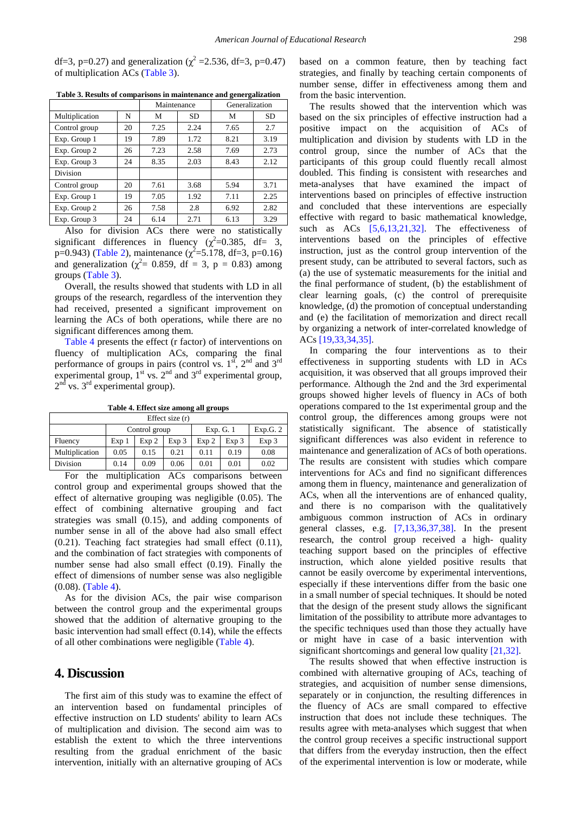df=3, p=0.27) and generalization ( $\chi^2$  =2.536, df=3, p=0.47) of multiplication ACs [\(Table 3\)](#page-4-0).

<span id="page-4-0"></span>

|                 |    | Maintenance |           | Generalization |           |
|-----------------|----|-------------|-----------|----------------|-----------|
| Multiplication  | N  | М           | <b>SD</b> | М              | <b>SD</b> |
| Control group   | 20 | 7.25        | 2.24      | 7.65           | 2.7       |
| Exp. Group 1    | 19 | 7.89        | 1.72      | 8.21           | 3.19      |
| Exp. Group 2    | 26 | 7.23        | 2.58      | 7.69           | 2.73      |
| Exp. Group 3    | 24 | 8.35        | 2.03      | 8.43           | 2.12      |
| <b>Division</b> |    |             |           |                |           |
| Control group   | 20 | 7.61        | 3.68      | 5.94           | 3.71      |
| Exp. Group 1    | 19 | 7.05        | 1.92      | 7.11           | 2.25      |
| Exp. Group 2    | 26 | 7.58        | 2.8       | 6.92           | 2.82      |
| Exp. Group 3    | 24 | 6.14        | 2.71      | 6.13           | 3.29      |

**Table 3. Results of comparisons in maintenance and genergalization**

Also for division ACs there were no statistically significant differences in fluency  $(\chi^2=0.385, df= 3,$ p=0.943) [\(Table 2\)](#page-3-0), maintenance  $(\chi^2 = 5.178, df = 3, p = 0.16)$ and generalization ( $\chi^2$  = 0.859, df = 3, p = 0.83) among groups [\(Table 3\)](#page-4-0).

Overall, the results showed that students with LD in all groups of the research, regardless of the intervention they had received, presented a significant improvement on learning the ACs of both operations, while there are no significant differences among them.

[Table 4](#page-4-1) presents the effect (r factor) of interventions on fluency of multiplication ACs, comparing the final performance of groups in pairs (control vs.  $1<sup>st</sup>$ ,  $2<sup>nd</sup>$  and  $3<sup>rd</sup>$ experimental group,  $1<sup>st</sup>$  vs.  $2<sup>nd</sup>$  and  $3<sup>rd</sup>$  experimental group,  $2<sup>nd</sup>$  vs.  $3<sup>rd</sup>$  experimental group).

**Table 4. Effect size among all groups**

<span id="page-4-1"></span>

| Effect size $(r)$ |                  |               |       |       |           |       |  |  |
|-------------------|------------------|---------------|-------|-------|-----------|-------|--|--|
|                   |                  | Control group |       |       | Exp. G. 1 |       |  |  |
| Fluency           | Exp <sub>1</sub> | Exp 2         | Exp 3 | Exp 2 | Exp 3     | Exp 3 |  |  |
| Multiplication    | 0.05             | 0.15          | 0.21  | 0.11  | 0.19      | 0.08  |  |  |
| Division          | 0.14             | 0.09          | 0.06  | 0.01  | 0.01      | 0.02  |  |  |
|                   |                  |               |       |       |           |       |  |  |

For the multiplication ACs comparisons between control group and experimental groups showed that the effect of alternative grouping was negligible (0.05). The effect of combining alternative grouping and fact strategies was small (0.15), and adding components of number sense in all of the above had also small effect (0.21). Teaching fact strategies had small effect (0.11), and the combination of fact strategies with components of number sense had also small effect (0.19). Finally the effect of dimensions of number sense was also negligible (0.08). [\(Table 4\)](#page-4-1).

As for the division ACs, the pair wise comparison between the control group and the experimental groups showed that the addition of alternative grouping to the basic intervention had small effect (0.14), while the effects of all other combinations were negligible [\(Table 4\)](#page-4-1).

# **4. Discussion**

The first aim of this study was to examine the effect of an intervention based on fundamental principles of effective instruction on LD students' ability to learn ACs of multiplication and division. The second aim was to establish the extent to which the three interventions resulting from the gradual enrichment of the basic intervention, initially with an alternative grouping of ACs based on a common feature, then by teaching fact strategies, and finally by teaching certain components of number sense, differ in effectiveness among them and from the basic intervention.

The results showed that the intervention which was based on the six principles of effective instruction had a positive impact on the acquisition of ACs of multiplication and division by students with LD in the control group, since the number of ACs that the participants of this group could fluently recall almost doubled. This finding is consistent with researches and meta-analyses that have examined the impact of interventions based on principles of effective instruction and concluded that these interventions are especially effective with regard to basic mathematical knowledge, such as ACs [\[5,6,13,21,32\].](#page-6-4) The effectiveness of interventions based on the principles of effective instruction, just as the control group intervention of the present study, can be attributed to several factors, such as (a) the use of systematic measurements for the initial and the final performance of student, (b) the establishment of clear learning goals, (c) the control of prerequisite knowledge, (d) the promotion of conceptual understanding and (e) the facilitation of memorization and direct recall by organizing a network of inter-correlated knowledge of ACs [\[19,33,34,35\].](#page-6-12)

In comparing the four interventions as to their effectiveness in supporting students with LD in ACs acquisition, it was observed that all groups improved their performance. Although the 2nd and the 3rd experimental groups showed higher levels of fluency in ACs of both operations compared to the 1st experimental group and the control group, the differences among groups were not statistically significant. The absence of statistically significant differences was also evident in reference to maintenance and generalization of ACs of both operations. The results are consistent with studies which compare interventions for ACs and find no significant differences among them in fluency, maintenance and generalization of ACs, when all the interventions are of enhanced quality, and there is no comparison with the qualitatively ambiguous common instruction of ACs in ordinary general classes, e.g. [\[7,13,36,37,38\].](#page-6-16) In the present research, the control group received a high- quality teaching support based on the principles of effective instruction, which alone yielded positive results that cannot be easily overcome by experimental interventions, especially if these interventions differ from the basic one in a small number of special techniques. It should be noted that the design of the present study allows the significant limitation of the possibility to attribute more advantages to the specific techniques used than those they actually have or might have in case of a basic intervention with significant shortcomings and general low quality [\[21,32\].](#page-6-13)

The results showed that when effective instruction is combined with alternative grouping of ACs, teaching of strategies, and acquisition of number sense dimensions, separately or in conjunction, the resulting differences in the fluency of ACs are small compared to effective instruction that does not include these techniques. The results agree with meta-analyses which suggest that when the control group receives a specific instructional support that differs from the everyday instruction, then the effect of the experimental intervention is low or moderate, while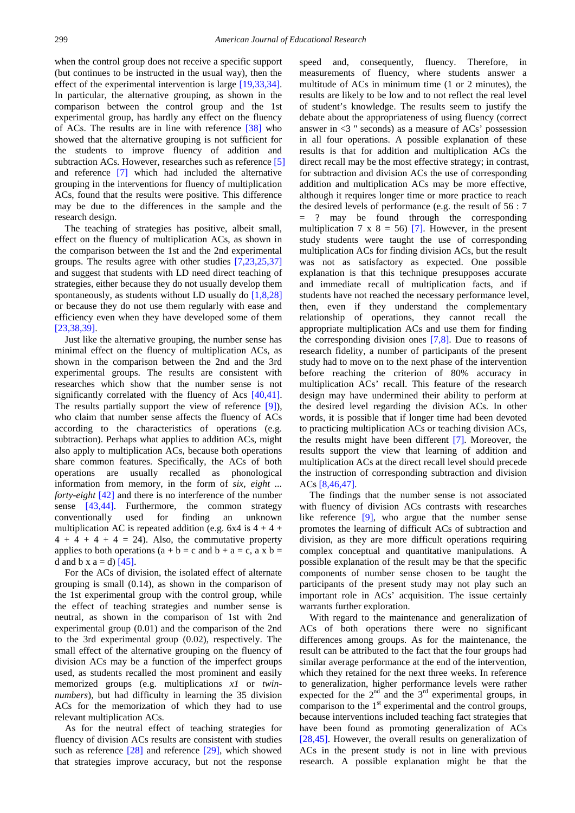when the control group does not receive a specific support (but continues to be instructed in the usual way), then the effect of the experimental intervention is large [\[19,33,34\].](#page-6-12) In particular, the alternative grouping, as shown in the comparison between the control group and the 1st experimental group, has hardly any effect on the fluency of ACs. The results are in line with reference  $\left[38\right]$  who showed that the alternative grouping is not sufficient for the students to improve fluency of addition and subtraction ACs. However, researches such as reference [\[5\]](#page-6-4) and reference [\[7\]](#page-6-16) which had included the alternative grouping in the interventions for fluency of multiplication ACs, found that the results were positive. This difference may be due to the differences in the sample and the research design.

The teaching of strategies has positive, albeit small, effect on the fluency of multiplication ACs, as shown in the comparison between the 1st and the 2nd experimental groups. The results agree with other studies [\[7,23,25,37\]](#page-6-16) and suggest that students with LD need direct teaching of strategies, either because they do not usually develop them spontaneously, as students without LD usually do  $[1,8,28]$ or because they do not use them regularly with ease and efficiency even when they have developed some of them [\[23,38,39\].](#page-6-22) 

Just like the alternative grouping, the number sense has minimal effect on the fluency of multiplication ACs, as shown in the comparison between the 2nd and the 3rd experimental groups. The results are consistent with researches which show that the number sense is not significantly correlated with the fluency of Acs [\[40,41\].](#page-7-3) The results partially support the view of reference [\[9\]\)](#page-6-6), who claim that number sense affects the fluency of ACs according to the characteristics of operations (e.g. subtraction). Perhaps what applies to addition ACs, might also apply to multiplication ACs, because both operations share common features. Specifically, the ACs of both operations are usually recalled as phonological information from memory, in the form of *six, eight ... forty-eight* [\[42\]](#page-7-4) and there is no interference of the number sense [\[43,44\].](#page-7-5) Furthermore, the common strategy conventionally used for finding an unknown multiplication AC is repeated addition (e.g.  $6x4$  is  $4 + 4 +$  $4 + 4 + 4 + 4 = 24$ . Also, the commutative property applies to both operations  $(a + b = c$  and  $b + a = c$ , a x b = d and b x a = d)  $[45]$ .

For the ACs of division, the isolated effect of alternate grouping is small (0.14), as shown in the comparison of the 1st experimental group with the control group, while the effect of teaching strategies and number sense is neutral, as shown in the comparison of 1st with 2nd experimental group (0.01) and the comparison of the 2nd to the 3rd experimental group (0.02), respectively. The small effect of the alternative grouping on the fluency of division ACs may be a function of the imperfect groups used, as students recalled the most prominent and easily memorized groups (e.g. multiplications *x1* or *twinnumbers*), but had difficulty in learning the 35 division ACs for the memorization of which they had to use relevant multiplication ACs.

As for the neutral effect of teaching strategies for fluency of division ACs results are consistent with studies such as reference [\[28\]](#page-6-19) and reference [\[29\],](#page-6-21) which showed that strategies improve accuracy, but not the response

speed and, consequently, fluency. Therefore, in measurements of fluency, where students answer a multitude of ACs in minimum time (1 or 2 minutes), the results are likely to be low and to not reflect the real level of student's knowledge. The results seem to justify the debate about the appropriateness of using fluency (correct answer in  $\leq$   $\frac{3}{1}$  seconds) as a measure of ACs' possession in all four operations. A possible explanation of these results is that for addition and multiplication ACs the direct recall may be the most effective strategy; in contrast, for subtraction and division ACs the use of corresponding addition and multiplication ACs may be more effective, although it requires longer time or more practice to reach the desired levels of performance (e.g. the result of 56 : 7 = ? may be found through the corresponding multiplication 7 x 8 = 56) [\[7\].](#page-6-16) However, in the present study students were taught the use of corresponding multiplication ACs for finding division ACs, but the result was not as satisfactory as expected. One possible explanation is that this technique presupposes accurate and immediate recall of multiplication facts, and if students have not reached the necessary performance level, then, even if they understand the complementary relationship of operations, they cannot recall the appropriate multiplication ACs and use them for finding the corresponding division ones  $[7,8]$ . Due to reasons of research fidelity, a number of participants of the present study had to move on to the next phase of the intervention before reaching the criterion of 80% accuracy in multiplication ACs' recall. This feature of the research design may have undermined their ability to perform at the desired level regarding the division ACs. In other words, it is possible that if longer time had been devoted to practicing multiplication ACs or teaching division ACs, the results might have been different [\[7\].](#page-6-16) Moreover, the results support the view that learning of addition and multiplication ACs at the direct recall level should precede the instruction of corresponding subtraction and division ACs [\[8,46,47\].](#page-6-5)

The findings that the number sense is not associated with fluency of division ACs contrasts with researches like reference [\[9\],](#page-6-6) who argue that the number sense promotes the learning of difficult ACs of subtraction and division, as they are more difficult operations requiring complex conceptual and quantitative manipulations. A possible explanation of the result may be that the specific components of number sense chosen to be taught the participants of the present study may not play such an important role in ACs' acquisition. The issue certainly warrants further exploration.

With regard to the maintenance and generalization of ACs of both operations there were no significant differences among groups. As for the maintenance, the result can be attributed to the fact that the four groups had similar average performance at the end of the intervention, which they retained for the next three weeks. In reference to generalization, higher performance levels were rather expected for the  $2<sup>nd</sup>$  and the  $3<sup>rd</sup>$  experimental groups, in comparison to the  $1<sup>st</sup>$  experimental and the control groups, because interventions included teaching fact strategies that have been found as promoting generalization of ACs [\[28,45\].](#page-6-19) However, the overall results on generalization of ACs in the present study is not in line with previous research. A possible explanation might be that the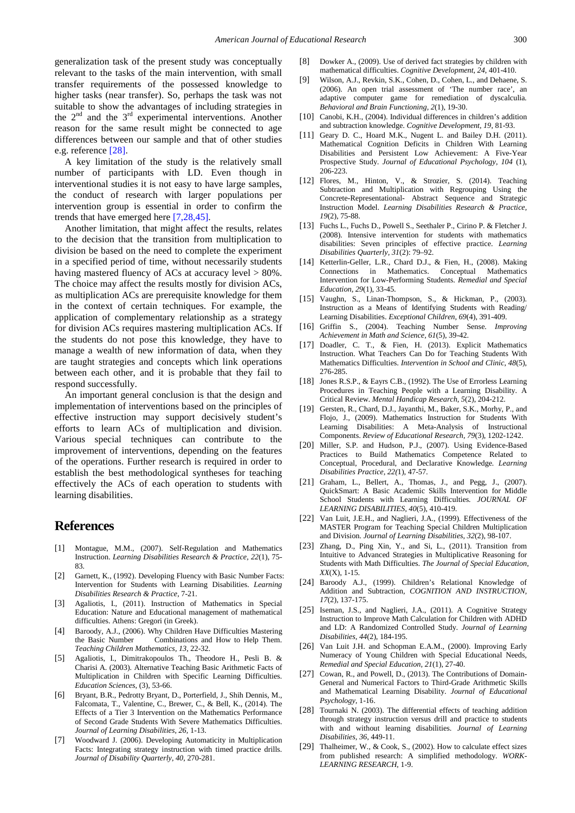generalization task of the present study was conceptually relevant to the tasks of the main intervention, with small transfer requirements of the possessed knowledge to higher tasks (near transfer). So, perhaps the task was not suitable to show the advantages of including strategies in the  $2<sup>nd</sup>$  and the  $3<sup>rd</sup>$  experimental interventions. Another reason for the same result might be connected to age differences between our sample and that of other studies e.g. reference [\[28\].](#page-6-19)

A key limitation of the study is the relatively small number of participants with LD. Even though in interventional studies it is not easy to have large samples, the conduct of research with larger populations per intervention group is essential in order to confirm the trends that have emerged here [\[7,28,45\].](#page-6-16)

Another limitation, that might affect the results, relates to the decision that the transition from multiplication to division be based on the need to complete the experiment in a specified period of time, without necessarily students having mastered fluency of ACs at accuracy level  $> 80\%$ . The choice may affect the results mostly for division ACs, as multiplication ACs are prerequisite knowledge for them in the context of certain techniques. For example, the application of complementary relationship as a strategy for division ACs requires mastering multiplication ACs. If the students do not pose this knowledge, they have to manage a wealth of new information of data, when they are taught strategies and concepts which link operations between each other, and it is probable that they fail to respond successfully.

An important general conclusion is that the design and implementation of interventions based on the principles of effective instruction may support decisively student's efforts to learn ACs of multiplication and division. Various special techniques can contribute to the improvement of interventions, depending on the features of the operations. Further research is required in order to establish the best methodological syntheses for teaching effectively the ACs of each operation to students with learning disabilities.

# **References**

- <span id="page-6-0"></span>[1] Montague, M.M., (2007). Self-Regulation and Mathematics Instruction. *Learning Disabilities Research & Practice, 22*(1), 75- 83.
- <span id="page-6-1"></span>[2] Garnett, K., (1992). Developing Fluency with Basic Number Facts: Intervention for Students with Learning Disabilities. *Learning Disabilities Research & Practice,* 7-21.
- <span id="page-6-2"></span>[3] Agaliotis, I., (2011). Instruction of Mathematics in Special Education: Nature and Educational management of mathematical difficulties. Athens: Gregori (in Greek).
- <span id="page-6-3"></span>[4] Baroody, A.J., (2006). Why Children Have Difficulties Mastering Combinations and How to Help Them. *Teaching Children Mathematics, 13*, 22-32.
- <span id="page-6-4"></span>[5] Agaliotis, I., Dimitrakopoulos Th., Theodore H., Pesli B. & Charisi A. (2003). Alternative Teaching Basic Arithmetic Facts of Multiplication in Children with Specific Learning Difficulties. *Education Sciences*, (3)*,* 53-66.
- <span id="page-6-20"></span>[6] Bryant, B.R., Pedrotty Bryant, D., Porterfield, J., Shih Dennis, M., Falcomata, T., Valentine, C., Brewer, C., & Bell, K., (2014). The Effects of a Tier 3 Intervention on the Mathematics Performance of Second Grade Students With Severe Mathematics Difficulties. *Journal of Learning Disabilities, 26,* 1-13.
- <span id="page-6-16"></span>[7] Woodward J. (2006). Developing Automaticity in Multiplication Facts: Integrating strategy instruction with timed practice drills. *Journal of Disability Quarterly*, *40*, 270-281.
- <span id="page-6-5"></span>[8] Dowker A., (2009). Use of derived fact strategies by children with mathematical difficulties. *Cognitive Development*, *24*, 401-410.
- <span id="page-6-6"></span>[9] Wilson, A.J., Revkin, S.K., Cohen, D., Cohen, L., and Dehaene, S. (2006). An open trial assessment of 'The number race', an adaptive computer game for remediation of dyscalculia*. Behavioral and Brain Functioning, 2*(1), 19-30.
- [10] Canobi, K.H., (2004). Individual differences in children's addition and subtraction knowledge. *Cognitive Development*, *19*, 81-93.
- <span id="page-6-7"></span>[11] Geary D. C., Hoard M.K., Nugent L. and Bailey D.H. (2011). Mathematical Cognition Deficits in Children With Learning Disabilities and Persistent Low Achievement: A Five-Year Prospective Study. *Journal of Educational Psychology, 104* (1), 206-223.
- <span id="page-6-8"></span>[12] Flores, M., Hinton, V., & Strozier, S. (2014). Teaching Subtraction and Multiplication with Regrouping Using the Concrete-Representational- Abstract Sequence and Strategic Instruction Model. *Learning Disabilities Research & Practice, 19*(2), 75-88.
- <span id="page-6-9"></span>[13] Fuchs L., Fuchs D., Powell S., Seethaler P., Cirino P. & Fletcher J. (2008). Intensive intervention for students with mathematics disabilities: Seven principles of effective practice. *Learning Disabilities Quarterly, 31*(2): 79–92.
- [14] Ketterlin-Geller, L.R., Chard D.J., & Fien, H., (2008). Making Connections in Mathematics. Conceptual Mathematics Intervention for Low-Performing Students. *Remedial and Special Education, 29*(1), 33-45.
- [15] Vaughn, S., Linan-Thompson, S., & Hickman, P., (2003). Instruction as a Means of Identifying Students with Reading/ Learning Disabilities. *Exceptional Children, 69*(4), 391-409.
- [16] Griffin S., (2004). Teaching Number Sense. *Improving Achievement in Math and Science, 61*(5), 39-42.
- <span id="page-6-10"></span>[17] Doadler, C. T., & Fien, H. (2013). Explicit Mathematics Instruction. What Teachers Can Do for Teaching Students With Mathematics Difficulties. *Intervention in School and Clinic, 48*(5), 276-285.
- <span id="page-6-11"></span>[18] Jones R.S.P., & Eayrs C.B., (1992). The Use of Errorless Learning Procedures in Teaching People with a Learning Disability. A Critical Review. *Mental Handicap Research, 5*(2), 204-212.
- <span id="page-6-12"></span>[19] Gersten, R., Chard, D.J., Jayanthi, M., Baker, S.K., Morhy, P., and Flojo, J., (2009). Mathematics Instruction for Students With Learning Disabilities: A Meta-Analysis of Instructional Components. *Review of Educational Research, 79*(3), 1202-1242.
- <span id="page-6-17"></span>[20] Miller, S.P. and Hudson, P.J., (2007). Using Evidence-Based Practices to Build Mathematics Competence Related to Conceptual, Procedural, and Declarative Knowledge*. Learning Disabilities Practice, 22(*1), 47-57.
- <span id="page-6-13"></span>[21] Graham, L., Bellert, A., Thomas, J., and Pegg, J., (2007). QuickSmart: A Basic Academic Skills Intervention for Middle School Students with Learning Difficulties*. JOURNAL OF LEARNING DISABILITIES, 40*(5), 410-419.
- [22] Van Luit, J.E.H., and Naglieri, J.A., (1999). Effectiveness of the MASTER Program for Teaching Special Children Multiplication and Division. *Journal of Learning Disabilities, 32*(2), 98-107.
- <span id="page-6-22"></span>[23] Zhang, D., Ping Xin, Y., and Si, L., (2011). Transition from Intuitive to Advanced Strategies in Multiplicative Reasoning for Students with Math Difficulties. *The Journal of Special Education, XX*(X), 1-15.
- <span id="page-6-14"></span>[24] Baroody A.J., (1999). Children's Relational Knowledge of Addition and Subtraction, *COGNITION AND INSTRUCTION, 17*(2), 137-175.
- <span id="page-6-15"></span>[25] Iseman, J.S., and Naglieri, J.A., (2011). A Cognitive Strategy Instruction to Improve Math Calculation for Children with ADHD and LD: A Randomized Controlled Study. *Journal of Learning Disabilities, 44*(2), 184-195.
- <span id="page-6-18"></span>[26] Van Luit J.H. and Schopman E.A.M., (2000). Improving Early Numeracy of Young Children with Special Educational Needs, *Remedial and Special Education, 21*(1), 27-40.
- [27] Cowan, R., and Powell, D., (2013). The Contributions of Domain-General and Numerical Factors to Third-Grade Arithmetic Skills and Mathematical Learning Disability. *Journal of Educational Psychology,* 1-16.
- <span id="page-6-19"></span>[28] Tournaki N. (2003). The differential effects of teaching addition through strategy instruction versus drill and practice to students with and without learning disabilities. *Journal of Learning Disabilities, 36*, 449-11.
- <span id="page-6-21"></span>[29] Thalheimer, W., & Cook, S., (2002). How to calculate effect sizes from published research: A simplified methodology. *WORK-LEARNING RESEARCH*, 1-9.